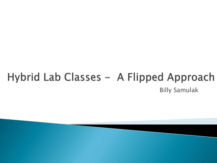### Hybrid Lab Classes - A Flipped Approach Billy Samulak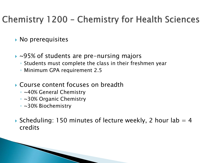#### Chemistry 1200 - Chemistry for Health Sciences

- **No prerequisites**
- ▶ ~95% of students are pre-nursing majors
	- Students must complete the class in their freshmen year
	- Minimum GPA requirement 2.5
- Course content focuses on breadth
	- ~40% General Chemistry
	- ~30% Organic Chemistry
	- ~30% Biochemistry
- Scheduling: 150 minutes of lecture weekly, 2 hour lab  $=$  4 credits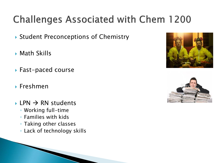# **Challenges Associated with Chem 1200**

- ▶ Student Preconceptions of Chemistry
- Math Skills
- ▶ Fast-paced course
- Freshmen
- $\rightarrow$  LPN  $\rightarrow$  RN students
	- Working full-time
	- Families with kids
	- Taking other classes
	- Lack of technology skills



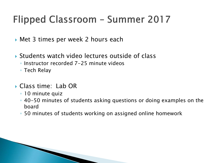## Flipped Classroom - Summer 2017

- ▶ Met 3 times per week 2 hours each
- Students watch video lectures outside of class
	- Instructor recorded 7-25 minute videos
	- Tech Relay
- Class time: Lab OR
	- 10 minute quiz
	- 40-50 minutes of students asking questions or doing examples on the board
	- 50 minutes of students working on assigned online homework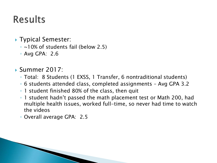## **Results**

- ▶ Typical Semester:
	- ~10% of students fail (below 2.5)
	- Avg GPA: 2.6
- Summer 2017:
	- Total: 8 Students (1 EXSS, 1 Transfer, 6 nontraditional students)
	- 6 students attended class, completed assignments Avg GPA 3.2
	- 1 student finished 80% of the class, then quit
	- 1 student hadn't passed the math placement test or Math 200, had multiple health issues, worked full-time, so never had time to watch the videos
	- Overall average GPA: 2.5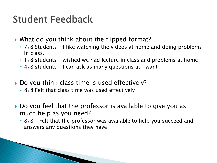### **Student Feedback**

- What do you think about the flipped format?
	- 7/8 Students I like watching the videos at home and doing problems in class.
	- 1/8 students wished we had lecture in class and problems at home
	- 4/8 students I can ask as many questions as I want
- Do you think class time is used effectively?
	- 8/8 Felt that class time was used effectively
- Do you feel that the professor is available to give you as much help as you need?
	- 8/8 Felt that the professor was available to help you succeed and answers any questions they have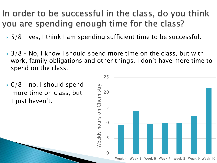#### In order to be successful in the class, do you think you are spending enough time for the class?

- ▶ 5/8 yes, I think I am spending sufficient time to be successful.
- $\rightarrow$  3/8 No, I know I should spend more time on the class, but with work, family obligations and other things, I don't have more time to spend on the class.
- $\rightarrow$  0/8 no, I should spend more time on class, but I just haven't.

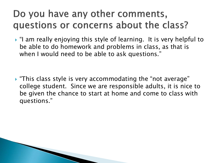### Do you have any other comments, questions or concerns about the class?

 "I am really enjoying this style of learning. It is very helpful to be able to do homework and problems in class, as that is when I would need to be able to ask questions."

 "This class style is very accommodating the "not average" college student. Since we are responsible adults, it is nice to be given the chance to start at home and come to class with questions."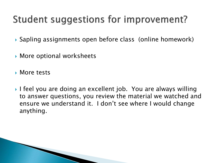## Student suggestions for improvement?

- ▶ Sapling assignments open before class (online homework)
- More optional worksheets
- **More tests**
- I feel you are doing an excellent job. You are always willing to answer questions, you review the material we watched and ensure we understand it. I don't see where I would change anything.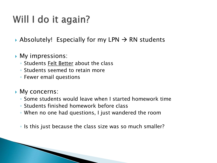### Will I do it again?

- Absolutely! Especially for my LPN  $\rightarrow$  RN students
- **My impressions:** 
	- Students Felt Better about the class
	- Students seemed to retain more
	- Fewer email questions
- ▶ My concerns:
	- Some students would leave when I started homework time
	- Students finished homework before class
	- When no one had questions, I just wandered the room
	- Is this just because the class size was so much smaller?